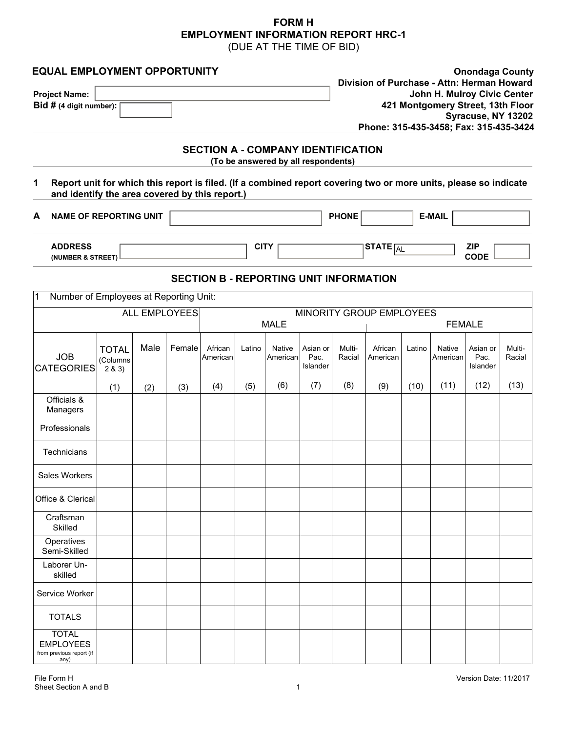## **FORM H EMPLOYMENT INFORMATION REPORT HRC-1** (DUE AT THE TIME OF BID)

| <b>EQUAL EMPLOYMENT OPPORTUNITY</b><br><b>Project Name:</b><br>Bid # (4 digit number):                                                                             |                                    |      |                      |                                               |             |                                     |                              | <b>Onondaga County</b><br>Division of Purchase - Attn: Herman Howard<br>John H. Mulroy Civic Center<br>421 Montgomery Street, 13th Floor<br>Syracuse, NY 13202<br>Phone: 315-435-3458; Fax: 315-435-3424 |                          |        |                    |                              |                  |
|--------------------------------------------------------------------------------------------------------------------------------------------------------------------|------------------------------------|------|----------------------|-----------------------------------------------|-------------|-------------------------------------|------------------------------|----------------------------------------------------------------------------------------------------------------------------------------------------------------------------------------------------------|--------------------------|--------|--------------------|------------------------------|------------------|
| 1                                                                                                                                                                  |                                    |      |                      | <b>SECTION A - COMPANY IDENTIFICATION</b>     |             | (To be answered by all respondents) |                              |                                                                                                                                                                                                          |                          |        |                    |                              |                  |
| Report unit for which this report is filed. (If a combined report covering two or more units, please so indicate<br>and identify the area covered by this report.) |                                    |      |                      |                                               |             |                                     |                              |                                                                                                                                                                                                          |                          |        |                    |                              |                  |
| <b>NAME OF REPORTING UNIT</b><br>А                                                                                                                                 |                                    |      |                      |                                               |             | <b>PHONE</b><br><b>E-MAIL</b>       |                              |                                                                                                                                                                                                          |                          |        |                    |                              |                  |
| <b>ADDRESS</b><br>(NUMBER & STREET)                                                                                                                                |                                    |      |                      |                                               | <b>CITY</b> |                                     |                              |                                                                                                                                                                                                          | STATE $\boxed{AL}$       |        |                    | <b>ZIP</b><br><b>CODE</b>    |                  |
|                                                                                                                                                                    |                                    |      |                      | <b>SECTION B - REPORTING UNIT INFORMATION</b> |             |                                     |                              |                                                                                                                                                                                                          |                          |        |                    |                              |                  |
| Number of Employees at Reporting Unit:<br>1                                                                                                                        |                                    |      |                      |                                               |             |                                     |                              |                                                                                                                                                                                                          |                          |        |                    |                              |                  |
|                                                                                                                                                                    |                                    |      | <b>ALL EMPLOYEES</b> |                                               |             | <b>MALE</b>                         |                              |                                                                                                                                                                                                          | MINORITY GROUP EMPLOYEES |        |                    | <b>FEMALE</b>                |                  |
| <b>JOB</b><br><b>CATEGORIES</b>                                                                                                                                    | <b>TOTAL</b><br>(Columns<br>2 & 3) | Male | Female               | African<br>American                           | Latino      | <b>Native</b><br>American           | Asian or<br>Pac.<br>Islander | Multi-<br>Racial                                                                                                                                                                                         | African<br>American      | Latino | Native<br>American | Asian or<br>Pac.<br>Islander | Multi-<br>Racial |
|                                                                                                                                                                    | (1)                                | (2)  | (3)                  | (4)                                           | (5)         | (6)                                 | (7)                          | (8)                                                                                                                                                                                                      | (9)                      | (10)   | (11)               | (12)                         | (13)             |
| Officials &<br>Managers                                                                                                                                            |                                    |      |                      |                                               |             |                                     |                              |                                                                                                                                                                                                          |                          |        |                    |                              |                  |
| Professionals                                                                                                                                                      |                                    |      |                      |                                               |             |                                     |                              |                                                                                                                                                                                                          |                          |        |                    |                              |                  |
| Technicians                                                                                                                                                        |                                    |      |                      |                                               |             |                                     |                              |                                                                                                                                                                                                          |                          |        |                    |                              |                  |
| Sales Workers                                                                                                                                                      |                                    |      |                      |                                               |             |                                     |                              |                                                                                                                                                                                                          |                          |        |                    |                              |                  |
| Office & Clerical                                                                                                                                                  |                                    |      |                      |                                               |             |                                     |                              |                                                                                                                                                                                                          |                          |        |                    |                              |                  |
| Craftsman<br>Skilled                                                                                                                                               |                                    |      |                      |                                               |             |                                     |                              |                                                                                                                                                                                                          |                          |        |                    |                              |                  |
| Operatives<br>Semi-Skilled                                                                                                                                         |                                    |      |                      |                                               |             |                                     |                              |                                                                                                                                                                                                          |                          |        |                    |                              |                  |
| Laborer Un-<br>skilled                                                                                                                                             |                                    |      |                      |                                               |             |                                     |                              |                                                                                                                                                                                                          |                          |        |                    |                              |                  |
| Service Worker                                                                                                                                                     |                                    |      |                      |                                               |             |                                     |                              |                                                                                                                                                                                                          |                          |        |                    |                              |                  |
| <b>TOTALS</b>                                                                                                                                                      |                                    |      |                      |                                               |             |                                     |                              |                                                                                                                                                                                                          |                          |        |                    |                              |                  |
| <b>TOTAL</b><br><b>EMPLOYEES</b><br>from previous report (if<br>any)                                                                                               |                                    |      |                      |                                               |             |                                     |                              |                                                                                                                                                                                                          |                          |        |                    |                              |                  |